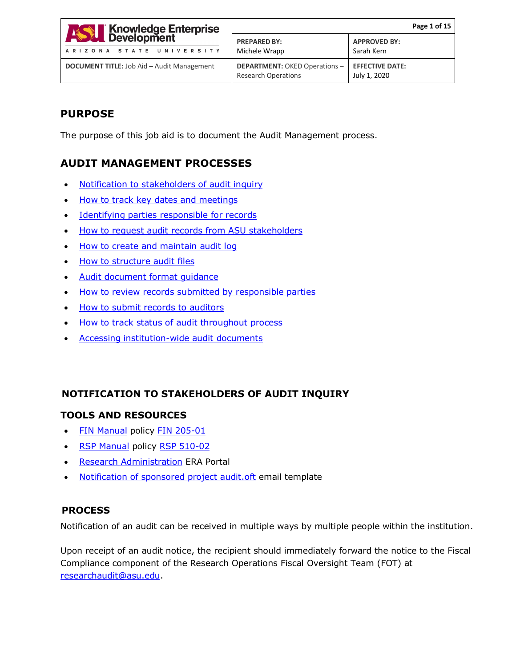| <b>ASSE</b> Knowledge Enterprise<br>ARIZONA STATE UNIVERSITY | Page 1 of 15                                                      |                                        |
|--------------------------------------------------------------|-------------------------------------------------------------------|----------------------------------------|
|                                                              | <b>PREPARED BY:</b><br>Michele Wrapp                              | <b>APPROVED BY:</b><br>Sarah Kern      |
| <b>DOCUMENT TITLE: Job Aid - Audit Management</b>            | <b>DEPARTMENT: OKED Operations-</b><br><b>Research Operations</b> | <b>EFFECTIVE DATE:</b><br>July 1, 2020 |

# **PURPOSE**

The purpose of this job aid is to document the Audit Management process.

# **AUDIT MANAGEMENT PROCESSES**

- [Notification to stakeholders of audit inquiry](#page-0-0)
- [How to track key dates and meetings](#page-1-0)
- [Identifying parties responsible for records](#page-2-0)
- [How to request audit records from ASU stakeholders](#page-4-0)
- [How to create and maintain audit log](#page-5-0)
- [How to structure audit files](#page-6-0)
- [Audit document format guidance](#page-8-0)
- [How to review records submitted by responsible parties](#page-9-0)
- [How to submit records to auditors](#page-10-0)
- [How to track status of audit throughout process](#page-10-1)
- [Accessing institution-wide audit documents](#page-11-0)

# <span id="page-0-0"></span> **NOTIFICATION TO STAKEHOLDERS OF AUDIT INQUIRY**

## **TOOLS AND RESOURCES**

- [FIN Manual](https://www.asu.edu/aad/manuals/fin/index.html) policy [FIN 205-01](https://www.asu.edu/aad/manuals/fin/fin205-01.html)
- [RSP Manual](https://www.asu.edu/aad/manuals/rsp/index.html) policy [RSP 510-02](https://www.asu.edu/aad/manuals/rsp/rsp510-02.html)
- [Research Administration](https://researchadmin.asu.edu/) ERA Portal
- [Notification of sponsored project audit.oft](https://www.dropbox.com/home/Audit%20Management%20-%20Job%20Aids%20and%20Work%20Instructions/Audit%20email%20templates) email template

## **PROCESS**

Notification of an audit can be received in multiple ways by multiple people within the institution.

Upon receipt of an audit notice, the recipient should immediately forward the notice to the Fiscal Compliance component of the Research Operations Fiscal Oversight Team (FOT) at [researchaudit@asu.edu.](mailto:researchaudit@asu.edu)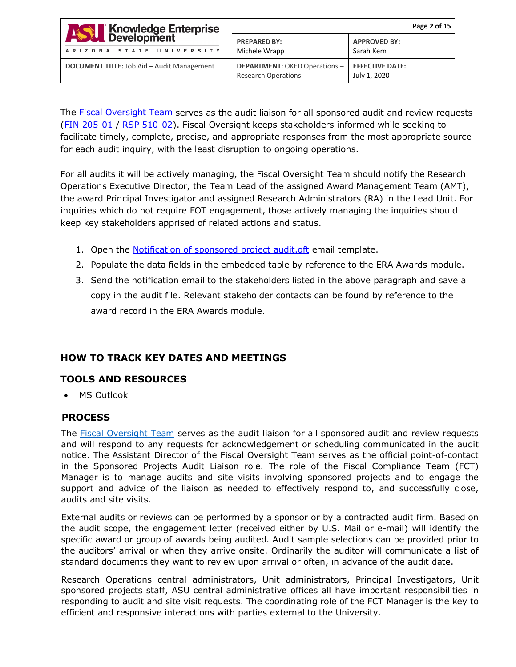| <b>ASSE Knowledge Enterprise</b><br>ARIZONA STATE UNIVERSITY | Page 2 of 15                                                       |                                        |
|--------------------------------------------------------------|--------------------------------------------------------------------|----------------------------------------|
|                                                              | <b>PREPARED BY:</b><br>Michele Wrapp                               | <b>APPROVED BY:</b><br>Sarah Kern      |
| <b>DOCUMENT TITLE: Job Aid - Audit Management</b>            | <b>DEPARTMENT: OKED Operations -</b><br><b>Research Operations</b> | <b>EFFECTIVE DATE:</b><br>July 1, 2020 |

The [Fiscal Oversight Team](https://researchadmin.asu.edu/research-operations) serves as the audit liaison for all sponsored audit and review requests (FIN [205-01](http://www.asu.edu/aad/manuals/fin/fin205-01.html) / RSP [510-02\)](http://www.asu.edu/aad/manuals/rsp/rsp510-02.html). Fiscal Oversight keeps stakeholders informed while seeking to facilitate timely, complete, precise, and appropriate responses from the most appropriate source for each audit inquiry, with the least disruption to ongoing operations.

For all audits it will be actively managing, the Fiscal Oversight Team should notify the Research Operations Executive Director, the Team Lead of the assigned Award Management Team (AMT), the award Principal Investigator and assigned Research Administrators (RA) in the Lead Unit. For inquiries which do not require FOT engagement, those actively managing the inquiries should keep key stakeholders apprised of related actions and status.

- 1. Open the Notification of sponsored project audit.oft email template.
- 2. Populate the data fields in the embedded table by reference to the ERA Awards module.
- 3. Send the notification email to the stakeholders listed in the above paragraph and save a copy in the audit file. Relevant stakeholder contacts can be found by reference to the award record in the ERA Awards module.

# <span id="page-1-0"></span>**HOW TO TRACK KEY DATES AND MEETINGS**

## **TOOLS AND RESOURCES**

• MS Outlook

## **PROCESS**

The [Fiscal Oversight Team](https://researchadmin.asu.edu/research-operations) serves as the audit liaison for all sponsored audit and review requests and will respond to any requests for acknowledgement or scheduling communicated in the audit notice. The Assistant Director of the Fiscal Oversight Team serves as the official point-of-contact in the Sponsored Projects Audit Liaison role. The role of the Fiscal Compliance Team (FCT) Manager is to manage audits and site visits involving sponsored projects and to engage the support and advice of the liaison as needed to effectively respond to, and successfully close, audits and site visits.

External audits or reviews can be performed by a sponsor or by a contracted audit firm. Based on the audit scope, the engagement letter (received either by U.S. Mail or e-mail) will identify the specific award or group of awards being audited. Audit sample selections can be provided prior to the auditors' arrival or when they arrive onsite. Ordinarily the auditor will communicate a list of standard documents they want to review upon arrival or often, in advance of the audit date.

Research Operations central administrators, Unit administrators, Principal Investigators, Unit sponsored projects staff, ASU central administrative offices all have important responsibilities in responding to audit and site visit requests. The coordinating role of the FCT Manager is the key to efficient and responsive interactions with parties external to the University.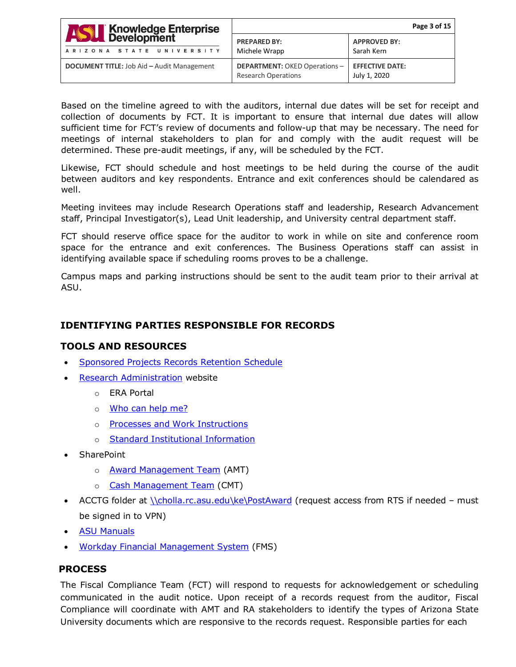| <b>ASSE Knowledge Enterprise</b><br>ARIZONA STATE UNIVERSITY | Page 3 of 15                                                       |                                        |
|--------------------------------------------------------------|--------------------------------------------------------------------|----------------------------------------|
|                                                              | <b>PREPARED BY:</b><br>Michele Wrapp                               | <b>APPROVED BY:</b><br>Sarah Kern      |
| <b>DOCUMENT TITLE:</b> Job Aid - Audit Management            | <b>DEPARTMENT: OKED Operations -</b><br><b>Research Operations</b> | <b>EFFECTIVE DATE:</b><br>July 1, 2020 |

Based on the timeline agreed to with the auditors, internal due dates will be set for receipt and collection of documents by FCT. It is important to ensure that internal due dates will allow sufficient time for FCT's review of documents and follow-up that may be necessary. The need for meetings of internal stakeholders to plan for and comply with the audit request will be determined. These pre-audit meetings, if any, will be scheduled by the FCT.

Likewise, FCT should schedule and host meetings to be held during the course of the audit between auditors and key respondents. Entrance and exit conferences should be calendared as well.

Meeting invitees may include Research Operations staff and leadership, Research Advancement staff, Principal Investigator(s), Lead Unit leadership, and University central department staff.

FCT should reserve office space for the auditor to work in while on site and conference room space for the entrance and exit conferences. The Business Operations staff can assist in identifying available space if scheduling rooms proves to be a challenge.

Campus maps and parking instructions should be sent to the audit team prior to their arrival at ASU.

## <span id="page-2-0"></span>**IDENTIFYING PARTIES RESPONSIBLE FOR RECORDS**

## **TOOLS AND RESOURCES**

- [Sponsored Projects Records Retention Schedule](https://researchadmin.asu.edu/sites/default/files/Sponsored-Projects-Records-Retention-Schedule.pdf)
- [Research Administration](https://researchadmin.asu.edu/) website
	- o ERA Portal
	- o [Who can help me?](https://researchadmin.asu.edu/find_contacts)
	- o [Processes and Work Instructions](https://researchadmin.asu.edu/procedures)
	- o [Standard Institutional Information](https://researchadmin.asu.edu/standard-institutional-information)
- SharePoint
	- o **[Award Management Team](https://arizonastateu.sharepoint.com/sites/O365OKEDAMTDPT) (AMT)**
	- o [Cash Management Team](https://arizonastateu.sharepoint.com/sites/O365OKEDFOTDPT/) (CMT)
- ACCTG folder at *\\cholla.rc.asu.edu\ke\PostAward* (request access from RTS if needed must be signed in to VPN)
- [ASU Manuals](https://www.asu.edu/aad/manuals)
- [Workday Financial Management System](https://www.myworkday.com/asu/d/home.htmld) (FMS)

## **PROCESS**

The Fiscal Compliance Team (FCT) will respond to requests for acknowledgement or scheduling communicated in the audit notice. Upon receipt of a records request from the auditor, Fiscal Compliance will coordinate with AMT and RA stakeholders to identify the types of Arizona State University documents which are responsive to the records request. Responsible parties for each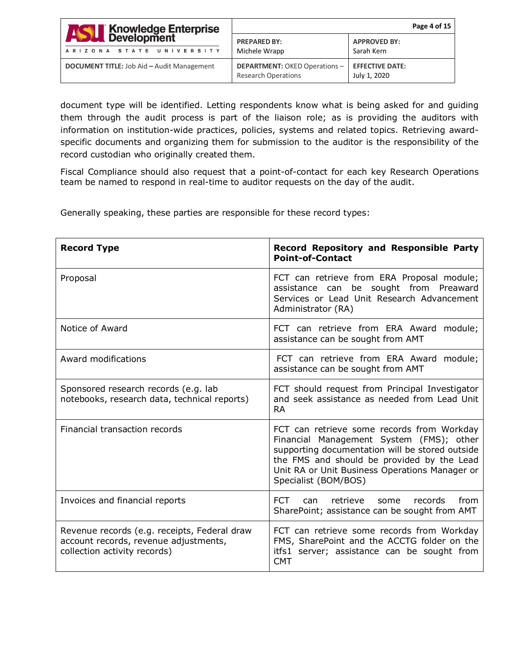| <b>ASSE Knowledge Enterprise</b>                  | Page 4 of 15                                                       |                                        |
|---------------------------------------------------|--------------------------------------------------------------------|----------------------------------------|
| ARIZONA STATE UNIVERSITY                          | <b>PREPARED BY:</b><br>Michele Wrapp                               | <b>APPROVED BY:</b><br>Sarah Kern      |
| <b>DOCUMENT TITLE: Job Aid - Audit Management</b> | <b>DEPARTMENT: OKED Operations -</b><br><b>Research Operations</b> | <b>EFFECTIVE DATE:</b><br>July 1, 2020 |

document type will be identified. Letting respondents know what is being asked for and guiding them through the audit process is part of the liaison role; as is providing the auditors with information on institution-wide practices, policies, systems and related topics. Retrieving awardspecific documents and organizing them for submission to the auditor is the responsibility of the record custodian who originally created them.

Fiscal Compliance should also request that a point-of-contact for each key Research Operations team be named to respond in real-time to auditor requests on the day of the audit.

Generally speaking, these parties are responsible for these record types:

| <b>Record Type</b>                                                                                                    | <b>Record Repository and Responsible Party</b><br><b>Point-of-Contact</b>                                                                                                                                                                                         |
|-----------------------------------------------------------------------------------------------------------------------|-------------------------------------------------------------------------------------------------------------------------------------------------------------------------------------------------------------------------------------------------------------------|
| Proposal                                                                                                              | FCT can retrieve from ERA Proposal module;<br>assistance can be sought from Preaward<br>Services or Lead Unit Research Advancement<br>Administrator (RA)                                                                                                          |
| Notice of Award                                                                                                       | FCT can retrieve from ERA Award module;<br>assistance can be sought from AMT                                                                                                                                                                                      |
| Award modifications                                                                                                   | FCT can retrieve from ERA Award module;<br>assistance can be sought from AMT                                                                                                                                                                                      |
| Sponsored research records (e.g. lab<br>notebooks, research data, technical reports)                                  | FCT should request from Principal Investigator<br>and seek assistance as needed from Lead Unit<br><b>RA</b>                                                                                                                                                       |
| Financial transaction records                                                                                         | FCT can retrieve some records from Workday<br>Financial Management System (FMS); other<br>supporting documentation will be stored outside<br>the FMS and should be provided by the Lead<br>Unit RA or Unit Business Operations Manager or<br>Specialist (BOM/BOS) |
| Invoices and financial reports                                                                                        | <b>FCT</b><br>retrieve<br>from<br>records<br>can<br>some<br>SharePoint; assistance can be sought from AMT                                                                                                                                                         |
| Revenue records (e.g. receipts, Federal draw<br>account records, revenue adjustments,<br>collection activity records) | FCT can retrieve some records from Workday<br>FMS, SharePoint and the ACCTG folder on the<br>itfs1 server; assistance can be sought from<br><b>CMT</b>                                                                                                            |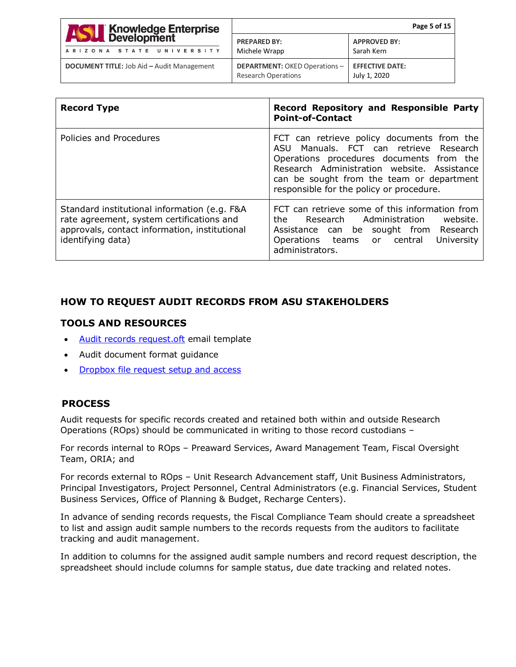| <b>ASSE</b> Knowledge Enterprise                  |                                                                    | Page 5 of 15                           |
|---------------------------------------------------|--------------------------------------------------------------------|----------------------------------------|
| ARIZONA STATE UNIVERSITY                          | <b>PREPARED BY:</b><br>Michele Wrapp                               | <b>APPROVED BY:</b><br>Sarah Kern      |
| <b>DOCUMENT TITLE: Job Aid - Audit Management</b> | <b>DEPARTMENT: OKED Operations -</b><br><b>Research Operations</b> | <b>EFFECTIVE DATE:</b><br>July 1, 2020 |

| <b>Record Type</b>                                                                                                                                              | Record Repository and Responsible Party<br><b>Point-of-Contact</b>                                                                                                                                                                                                       |
|-----------------------------------------------------------------------------------------------------------------------------------------------------------------|--------------------------------------------------------------------------------------------------------------------------------------------------------------------------------------------------------------------------------------------------------------------------|
| Policies and Procedures                                                                                                                                         | FCT can retrieve policy documents from the<br>ASU Manuals, FCT can retrieve Research<br>Operations procedures documents from the<br>Research Administration website. Assistance<br>can be sought from the team or department<br>responsible for the policy or procedure. |
| Standard institutional information (e.g. F&A<br>rate agreement, system certifications and<br>approvals, contact information, institutional<br>identifying data) | FCT can retrieve some of this information from<br>website.<br>the<br>Administration<br>Research<br>Assistance can be sought from Research<br>University<br>Operations teams or central<br>administrators.                                                                |

# <span id="page-4-0"></span>**HOW TO REQUEST AUDIT RECORDS FROM ASU STAKEHOLDERS**

#### **TOOLS AND RESOURCES**

- [Audit records request.oft](https://www.dropbox.com/home/Audit%20Management%20-%20Job%20Aids%20and%20Work%20Instructions/Audit%20email%20templates) email template
- Audit document format guidance
- [Dropbox file request setup and access](https://help.dropbox.com/files-folders/share/create-file-request#filerequest)

#### **PROCESS**

Audit requests for specific records created and retained both within and outside Research Operations (ROps) should be communicated in writing to those record custodians –

For records internal to ROps – Preaward Services, Award Management Team, Fiscal Oversight Team, ORIA; and

For records external to ROps – Unit Research Advancement staff, Unit Business Administrators, Principal Investigators, Project Personnel, Central Administrators (e.g. Financial Services, Student Business Services, Office of Planning & Budget, Recharge Centers).

In advance of sending records requests, the Fiscal Compliance Team should create a spreadsheet to list and assign audit sample numbers to the records requests from the auditors to facilitate tracking and audit management.

In addition to columns for the assigned audit sample numbers and record request description, the spreadsheet should include columns for sample status, due date tracking and related notes.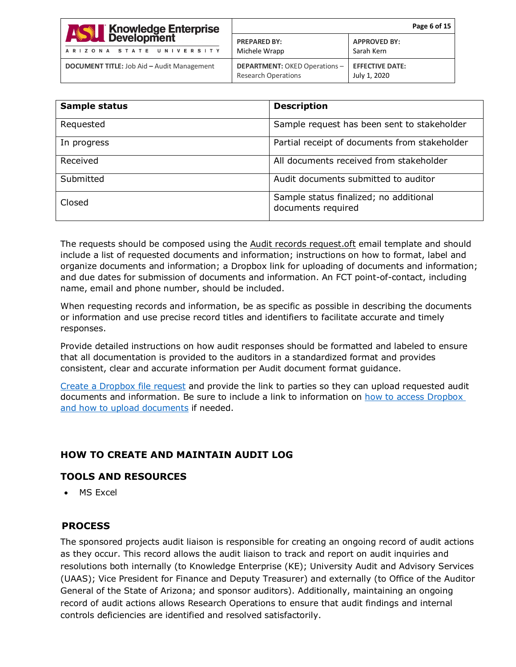| <b>Knowledge Enterprise</b><br>Development        | Page 6 of 15                                                       |                                        |
|---------------------------------------------------|--------------------------------------------------------------------|----------------------------------------|
| <b>ASSES</b><br>ARIZONA STATE UNIVERSITY          | <b>PREPARED BY:</b><br>Michele Wrapp                               | <b>APPROVED BY:</b><br>Sarah Kern      |
| <b>DOCUMENT TITLE: Job Aid - Audit Management</b> | <b>DEPARTMENT: OKED Operations -</b><br><b>Research Operations</b> | <b>EFFECTIVE DATE:</b><br>July 1, 2020 |

| Sample status | <b>Description</b>                                           |
|---------------|--------------------------------------------------------------|
| Requested     | Sample request has been sent to stakeholder                  |
| In progress   | Partial receipt of documents from stakeholder                |
| Received      | All documents received from stakeholder                      |
| Submitted     | Audit documents submitted to auditor                         |
| Closed        | Sample status finalized; no additional<br>documents required |

The requests should be composed using the Audit records request.oft email template and should include a list of requested documents and information; instructions on how to format, label and organize documents and information; a Dropbox link for uploading of documents and information; and due dates for submission of documents and information. An FCT point-of-contact, including name, email and phone number, should be included.

When requesting records and information, be as specific as possible in describing the documents or information and use precise record titles and identifiers to facilitate accurate and timely responses.

Provide detailed instructions on how audit responses should be formatted and labeled to ensure that all documentation is provided to the auditors in a standardized format and provides consistent, clear and accurate information per Audit document format guidance.

[Create a Dropbox file request](https://help.dropbox.com/files-folders/share/create-file-request#filerequest) and provide the link to parties so they can upload requested audit documents and information. Be sure to include a link to information on [how to access Dropbox](https://help.dropbox.com/files-folders/share/received-file-request)  [and how to upload documents](https://help.dropbox.com/files-folders/share/received-file-request) if needed.

# <span id="page-5-0"></span>**HOW TO CREATE AND MAINTAIN AUDIT LOG**

## **TOOLS AND RESOURCES**

• MS Excel

# **PROCESS**

The sponsored projects audit liaison is responsible for creating an ongoing record of audit actions as they occur. This record allows the audit liaison to track and report on audit inquiries and resolutions both internally (to Knowledge Enterprise (KE); University Audit and Advisory Services (UAAS); Vice President for Finance and Deputy Treasurer) and externally (to Office of the Auditor General of the State of Arizona; and sponsor auditors). Additionally, maintaining an ongoing record of audit actions allows Research Operations to ensure that audit findings and internal controls deficiencies are identified and resolved satisfactorily.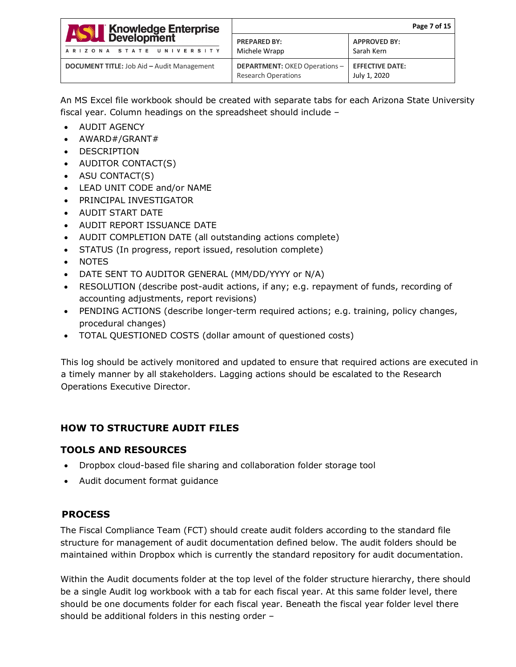| <b>ASSE</b> Knowledge Enterprise<br><b>ASSE</b> Development<br>ARIZONA STATE UNIVERSITY | Page 7 of 15                                                       |                                        |
|-----------------------------------------------------------------------------------------|--------------------------------------------------------------------|----------------------------------------|
|                                                                                         | <b>PREPARED BY:</b><br>Michele Wrapp                               | <b>APPROVED BY:</b><br>Sarah Kern      |
| <b>DOCUMENT TITLE:</b> Job Aid - Audit Management                                       | <b>DEPARTMENT: OKED Operations -</b><br><b>Research Operations</b> | <b>EFFECTIVE DATE:</b><br>July 1, 2020 |

An MS Excel file workbook should be created with separate tabs for each Arizona State University fiscal year. Column headings on the spreadsheet should include –

- AUDIT AGENCY
- AWARD#/GRANT#
- DESCRIPTION
- AUDITOR CONTACT(S)
- ASU CONTACT(S)
- LEAD UNIT CODE and/or NAME
- PRINCIPAL INVESTIGATOR
- AUDIT START DATE
- AUDIT REPORT ISSUANCE DATE
- AUDIT COMPLETION DATE (all outstanding actions complete)
- STATUS (In progress, report issued, resolution complete)
- NOTES
- DATE SENT TO AUDITOR GENERAL (MM/DD/YYYY or N/A)
- RESOLUTION (describe post-audit actions, if any; e.g. repayment of funds, recording of accounting adjustments, report revisions)
- PENDING ACTIONS (describe longer-term required actions; e.g. training, policy changes, procedural changes)
- TOTAL QUESTIONED COSTS (dollar amount of questioned costs)

This log should be actively monitored and updated to ensure that required actions are executed in a timely manner by all stakeholders. Lagging actions should be escalated to the Research Operations Executive Director.

# <span id="page-6-0"></span>**HOW TO STRUCTURE AUDIT FILES**

# **TOOLS AND RESOURCES**

- Dropbox cloud-based file sharing and collaboration folder storage tool
- Audit document format guidance

# **PROCESS**

The Fiscal Compliance Team (FCT) should create audit folders according to the standard file structure for management of audit documentation defined below. The audit folders should be maintained within Dropbox which is currently the standard repository for audit documentation.

Within the Audit documents folder at the top level of the folder structure hierarchy, there should be a single Audit log workbook with a tab for each fiscal year. At this same folder level, there should be one documents folder for each fiscal year. Beneath the fiscal year folder level there should be additional folders in this nesting order –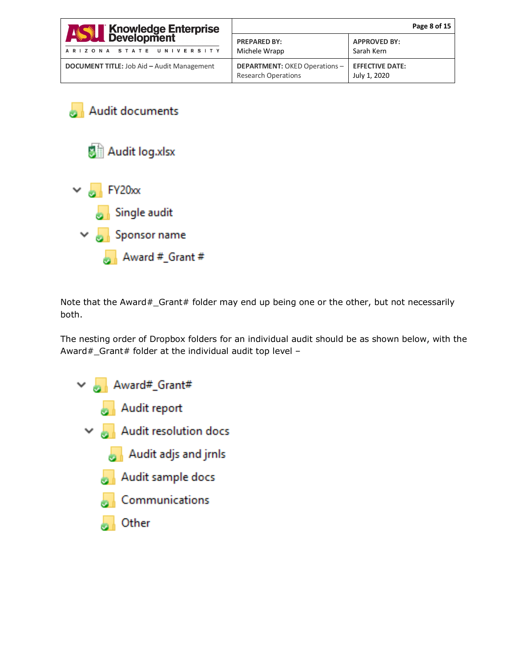| <b>ASSET Knowledge Enterprise</b><br>ARIZONA STATE UNIVERSITY | Page 8 of 15                                                       |                                        |
|---------------------------------------------------------------|--------------------------------------------------------------------|----------------------------------------|
|                                                               | <b>PREPARED BY:</b><br>Michele Wrapp                               | <b>APPROVED BY:</b><br>Sarah Kern      |
| <b>DOCUMENT TITLE: Job Aid - Audit Management</b>             | <b>DEPARTMENT: OKED Operations -</b><br><b>Research Operations</b> | <b>EFFECTIVE DATE:</b><br>July 1, 2020 |

Audit documents Audit log.xlsx  $\vee$  M<sub>2</sub> FY20<sub>xx</sub> Single audit



Note that the Award#\_Grant# folder may end up being one or the other, but not necessarily both.

The nesting order of Dropbox folders for an individual audit should be as shown below, with the Award#\_Grant# folder at the individual audit top level –

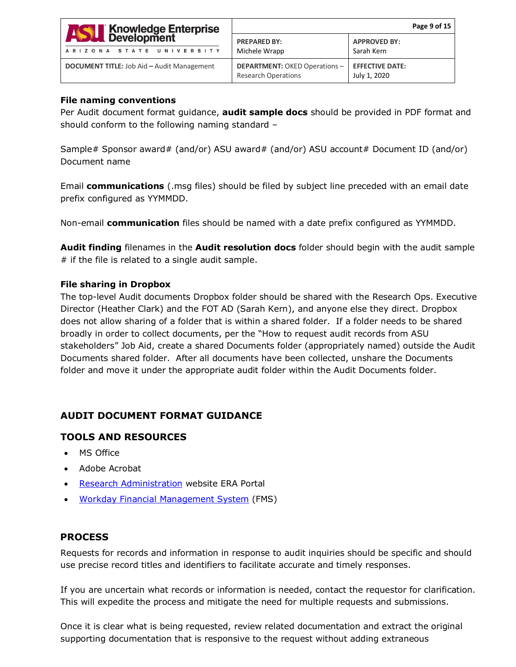| <b>Knowledge Enterprise</b><br>Development<br>$\frac{1}{\sqrt{2}}$<br>ARIZONA STATE UNIVERSITY | Page 9 of 15                                                       |                                        |
|------------------------------------------------------------------------------------------------|--------------------------------------------------------------------|----------------------------------------|
|                                                                                                | <b>PREPARED BY:</b><br>Michele Wrapp                               | <b>APPROVED BY:</b><br>Sarah Kern      |
| <b>DOCUMENT TITLE:</b> Job Aid - Audit Management                                              | <b>DEPARTMENT: OKED Operations -</b><br><b>Research Operations</b> | <b>EFFECTIVE DATE:</b><br>July 1, 2020 |

#### **File naming conventions**

Per Audit document format guidance, **audit sample docs** should be provided in PDF format and should conform to the following naming standard –

Sample# Sponsor award# (and/or) ASU award# (and/or) ASU account# Document ID (and/or) Document name

Email **communications** (.msg files) should be filed by subject line preceded with an email date prefix configured as YYMMDD.

Non-email **communication** files should be named with a date prefix configured as YYMMDD.

**Audit finding** filenames in the **Audit resolution docs** folder should begin with the audit sample  $#$  if the file is related to a single audit sample.

## **File sharing in Dropbox**

The top-level Audit documents Dropbox folder should be shared with the Research Ops. Executive Director (Heather Clark) and the FOT AD (Sarah Kern), and anyone else they direct. Dropbox does not allow sharing of a folder that is within a shared folder. If a folder needs to be shared broadly in order to collect documents, per the "How to request audit records from ASU stakeholders" Job Aid, create a shared Documents folder (appropriately named) outside the Audit Documents shared folder. After all documents have been collected, unshare the Documents folder and move it under the appropriate audit folder within the Audit Documents folder.

# <span id="page-8-0"></span>**AUDIT DOCUMENT FORMAT GUIDANCE**

# **TOOLS AND RESOURCES**

- MS Office
- Adobe Acrobat
- [Research Administration](https://researchadmin.asu.edu/) website ERA Portal
- [Workday Financial Management System](https://www.myworkday.com/asu/d/home.htmld) (FMS)

# **PROCESS**

Requests for records and information in response to audit inquiries should be specific and should use precise record titles and identifiers to facilitate accurate and timely responses.

If you are uncertain what records or information is needed, contact the requestor for clarification. This will expedite the process and mitigate the need for multiple requests and submissions.

Once it is clear what is being requested, review related documentation and extract the original supporting documentation that is responsive to the request without adding extraneous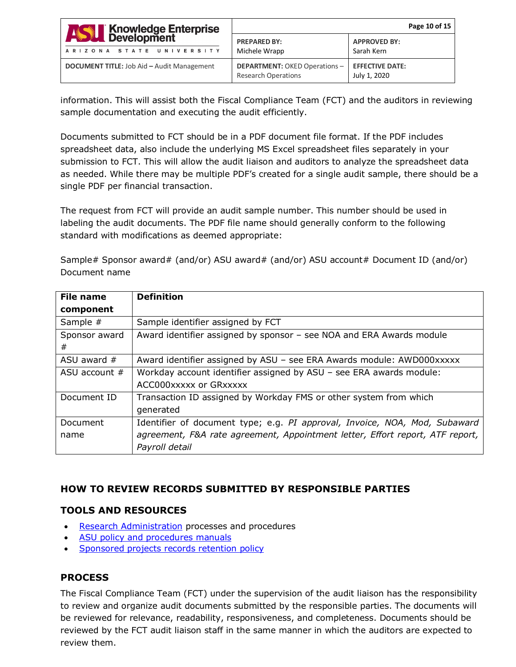| <b>ASSE Knowledge Enterprise</b>                  | Page 10 of 15                                                      |                                        |
|---------------------------------------------------|--------------------------------------------------------------------|----------------------------------------|
| ARIZONA STATE UNIVERSITY                          | <b>PREPARED BY:</b><br>Michele Wrapp                               | <b>APPROVED BY:</b><br>Sarah Kern      |
| <b>DOCUMENT TITLE:</b> Job Aid - Audit Management | <b>DEPARTMENT: OKED Operations -</b><br><b>Research Operations</b> | <b>EFFECTIVE DATE:</b><br>July 1, 2020 |

information. This will assist both the Fiscal Compliance Team (FCT) and the auditors in reviewing sample documentation and executing the audit efficiently.

Documents submitted to FCT should be in a PDF document file format. If the PDF includes spreadsheet data, also include the underlying MS Excel spreadsheet files separately in your submission to FCT. This will allow the audit liaison and auditors to analyze the spreadsheet data as needed. While there may be multiple PDF's created for a single audit sample, there should be a single PDF per financial transaction.

The request from FCT will provide an audit sample number. This number should be used in labeling the audit documents. The PDF file name should generally conform to the following standard with modifications as deemed appropriate:

Sample# Sponsor award# (and/or) ASU award# (and/or) ASU account# Document ID (and/or) Document name

| File name       | <b>Definition</b>                                                             |
|-----------------|-------------------------------------------------------------------------------|
| component       |                                                                               |
| Sample #        | Sample identifier assigned by FCT                                             |
| Sponsor award   | Award identifier assigned by sponsor - see NOA and ERA Awards module          |
| #               |                                                                               |
| ASU award $#$   | Award identifier assigned by ASU - see ERA Awards module: AWD000xxxxx         |
| ASU account $#$ | Workday account identifier assigned by ASU - see ERA awards module:           |
|                 | ACC000xxxxx or GRxxxxx                                                        |
| Document ID     | Transaction ID assigned by Workday FMS or other system from which             |
|                 | generated                                                                     |
| Document        | Identifier of document type; e.g. PI approval, Invoice, NOA, Mod, Subaward    |
| name            | agreement, F&A rate agreement, Appointment letter, Effort report, ATF report, |
|                 | Payroll detail                                                                |

## <span id="page-9-0"></span>**HOW TO REVIEW RECORDS SUBMITTED BY RESPONSIBLE PARTIES**

## **TOOLS AND RESOURCES**

- [Research Administration](https://researchadmin.asu.edu/) processes and procedures
- [ASU policy and procedures manuals](https://www.asu.edu/aad/manuals/)
- [Sponsored projects records retention policy](https://researchadmin.asu.edu/sites/default/files/Sponsored-Projects-Records-Retention-Schedule.pdf)

## **PROCESS**

The Fiscal Compliance Team (FCT) under the supervision of the audit liaison has the responsibility to review and organize audit documents submitted by the responsible parties. The documents will be reviewed for relevance, readability, responsiveness, and completeness. Documents should be reviewed by the FCT audit liaison staff in the same manner in which the auditors are expected to review them.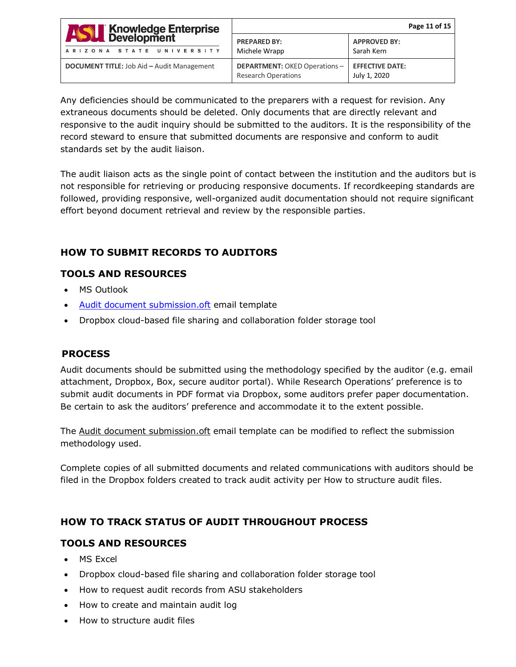| <b>ASSE Knowledge Enterprise</b>                  | Page 11 of 15                                                      |                                        |
|---------------------------------------------------|--------------------------------------------------------------------|----------------------------------------|
| ARIZONA STATE UNIVERSITY                          | <b>PREPARED BY:</b><br>Michele Wrapp                               | <b>APPROVED BY:</b><br>Sarah Kern      |
| <b>DOCUMENT TITLE:</b> Job Aid - Audit Management | <b>DEPARTMENT: OKED Operations -</b><br><b>Research Operations</b> | <b>EFFECTIVE DATE:</b><br>July 1, 2020 |

Any deficiencies should be communicated to the preparers with a request for revision. Any extraneous documents should be deleted. Only documents that are directly relevant and responsive to the audit inquiry should be submitted to the auditors. It is the responsibility of the record steward to ensure that submitted documents are responsive and conform to audit standards set by the audit liaison.

The audit liaison acts as the single point of contact between the institution and the auditors but is not responsible for retrieving or producing responsive documents. If recordkeeping standards are followed, providing responsive, well-organized audit documentation should not require significant effort beyond document retrieval and review by the responsible parties.

# <span id="page-10-0"></span>**HOW TO SUBMIT RECORDS TO AUDITORS**

# **TOOLS AND RESOURCES**

- MS Outlook
- [Audit document submission.oft](https://www.dropbox.com/home/Audit%20Management%20-%20Job%20Aids%20and%20Work%20Instructions/Audit%20email%20templates) email template
- Dropbox cloud-based file sharing and collaboration folder storage tool

# **PROCESS**

Audit documents should be submitted using the methodology specified by the auditor (e.g. email attachment, Dropbox, Box, secure auditor portal). While Research Operations' preference is to submit audit documents in PDF format via Dropbox, some auditors prefer paper documentation. Be certain to ask the auditors' preference and accommodate it to the extent possible.

The Audit document submission.oft email template can be modified to reflect the submission methodology used.

Complete copies of all submitted documents and related communications with auditors should be filed in the Dropbox folders created to track audit activity per How to structure audit files.

# <span id="page-10-1"></span>**HOW TO TRACK STATUS OF AUDIT THROUGHOUT PROCESS**

# **TOOLS AND RESOURCES**

- MS Excel
- Dropbox cloud-based file sharing and collaboration folder storage tool
- How to request audit records from ASU stakeholders
- How to create and maintain audit log
- How to structure audit files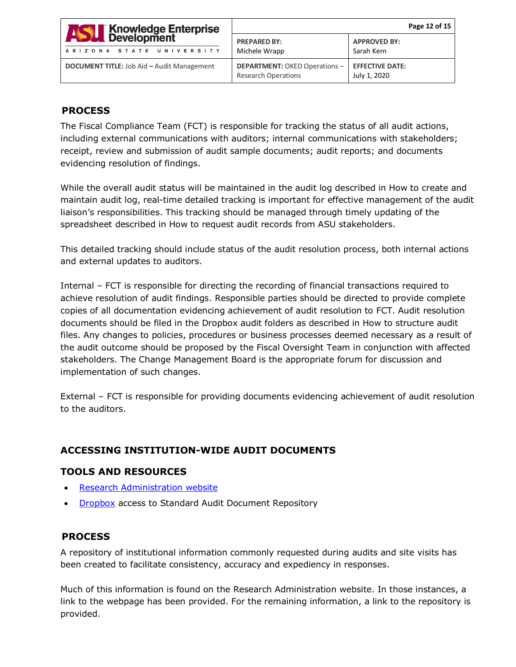| <b>ASSE Knowledge Enterprise</b>                  | Page 12 of 15                                                      |                                        |
|---------------------------------------------------|--------------------------------------------------------------------|----------------------------------------|
| ARIZONA STATE UNIVERSITY                          | <b>PREPARED BY:</b><br>Michele Wrapp                               | <b>APPROVED BY:</b><br>Sarah Kern      |
| <b>DOCUMENT TITLE:</b> Job Aid - Audit Management | <b>DEPARTMENT: OKED Operations -</b><br><b>Research Operations</b> | <b>EFFECTIVE DATE:</b><br>July 1, 2020 |

## **PROCESS**

The Fiscal Compliance Team (FCT) is responsible for tracking the status of all audit actions, including external communications with auditors; internal communications with stakeholders; receipt, review and submission of audit sample documents; audit reports; and documents evidencing resolution of findings.

While the overall audit status will be maintained in the audit log described in How to create and maintain audit log, real-time detailed tracking is important for effective management of the audit liaison's responsibilities. This tracking should be managed through timely updating of the spreadsheet described in How to request audit records from ASU stakeholders.

This detailed tracking should include status of the audit resolution process, both internal actions and external updates to auditors.

Internal – FCT is responsible for directing the recording of financial transactions required to achieve resolution of audit findings. Responsible parties should be directed to provide complete copies of all documentation evidencing achievement of audit resolution to FCT. Audit resolution documents should be filed in the Dropbox audit folders as described in How to structure audit files. Any changes to policies, procedures or business processes deemed necessary as a result of the audit outcome should be proposed by the Fiscal Oversight Team in conjunction with affected stakeholders. The Change Management Board is the appropriate forum for discussion and implementation of such changes.

External – FCT is responsible for providing documents evidencing achievement of audit resolution to the auditors.

# <span id="page-11-0"></span>**ACCESSING INSTITUTION-WIDE AUDIT DOCUMENTS**

## **TOOLS AND RESOURCES**

- [Research Administration website](https://researchadmin.asu.edu/)
- [Dropbox](https://www.dropbox.com/home/Audit%20Documents) access to Standard Audit Document Repository

## **PROCESS**

A repository of institutional information commonly requested during audits and site visits has been created to facilitate consistency, accuracy and expediency in responses.

Much of this information is found on the Research Administration website. In those instances, a link to the webpage has been provided. For the remaining information, a link to the repository is provided.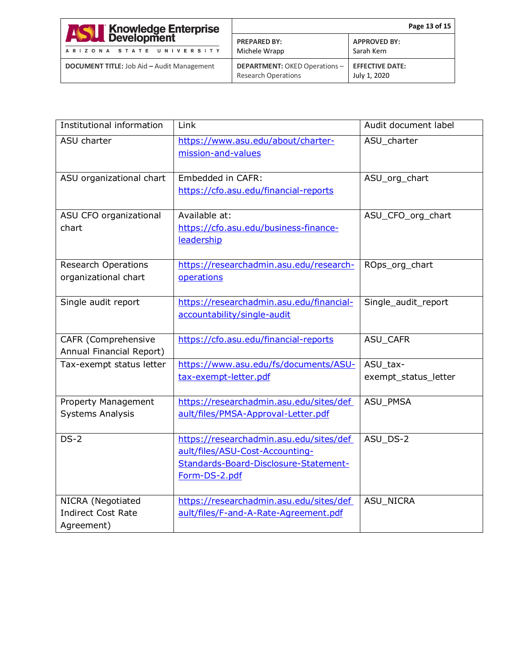| <b>ASSE Knowledge Enterprise</b>                  | Page 13 of 15                                                      |                                        |
|---------------------------------------------------|--------------------------------------------------------------------|----------------------------------------|
| ARIZONA STATE UNIVERSITY                          | <b>PREPARED BY:</b><br>Michele Wrapp                               | <b>APPROVED BY:</b><br>Sarah Kern      |
| <b>DOCUMENT TITLE:</b> Job Aid - Audit Management | <b>DEPARTMENT: OKED Operations -</b><br><b>Research Operations</b> | <b>EFFECTIVE DATE:</b><br>July 1, 2020 |

| Institutional information                            | Link                                                                       | Audit document label |
|------------------------------------------------------|----------------------------------------------------------------------------|----------------------|
| ASU charter                                          | https://www.asu.edu/about/charter-                                         | ASU_charter          |
|                                                      | mission-and-values                                                         |                      |
|                                                      | Embedded in CAFR:                                                          |                      |
| ASU organizational chart                             | https://cfo.asu.edu/financial-reports                                      | ASU_org_chart        |
|                                                      |                                                                            |                      |
| ASU CFO organizational                               | Available at:                                                              | ASU_CFO_org_chart    |
| chart                                                | https://cfo.asu.edu/business-finance-                                      |                      |
|                                                      | leadership                                                                 |                      |
|                                                      |                                                                            |                      |
| <b>Research Operations</b><br>organizational chart   | https://researchadmin.asu.edu/research-<br>operations                      | ROps_org_chart       |
|                                                      |                                                                            |                      |
| Single audit report                                  | https://researchadmin.asu.edu/financial-                                   | Single_audit_report  |
|                                                      | accountability/single-audit                                                |                      |
|                                                      |                                                                            |                      |
| CAFR (Comprehensive                                  | https://cfo.asu.edu/financial-reports                                      | ASU_CAFR             |
| Annual Financial Report)<br>Tax-exempt status letter | https://www.asu.edu/fs/documents/ASU-                                      | ASU_tax-             |
|                                                      | tax-exempt-letter.pdf                                                      | exempt_status_letter |
|                                                      |                                                                            |                      |
| Property Management                                  | https://researchadmin.asu.edu/sites/def                                    | ASU_PMSA             |
| <b>Systems Analysis</b>                              | ault/files/PMSA-Approval-Letter.pdf                                        |                      |
|                                                      |                                                                            |                      |
| $DS-2$                                               | https://researchadmin.asu.edu/sites/def<br>ault/files/ASU-Cost-Accounting- | ASU_DS-2             |
|                                                      | Standards-Board-Disclosure-Statement-                                      |                      |
|                                                      | Form-DS-2.pdf                                                              |                      |
|                                                      |                                                                            |                      |
| NICRA (Negotiated                                    | https://researchadmin.asu.edu/sites/def                                    | ASU_NICRA            |
| <b>Indirect Cost Rate</b>                            | ault/files/F-and-A-Rate-Agreement.pdf                                      |                      |
| Agreement)                                           |                                                                            |                      |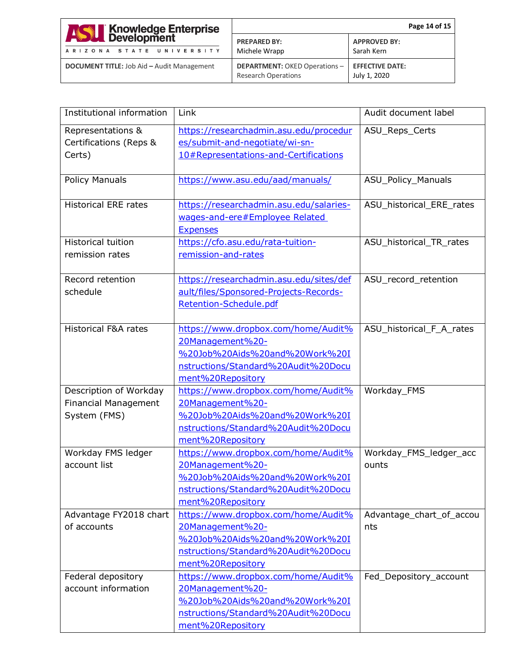| <b>ASSET Knowledge Enterprise</b>                 | Page 14 of 15                                                      |                                        |
|---------------------------------------------------|--------------------------------------------------------------------|----------------------------------------|
| ARIZONA STATE UNIVERSITY                          | <b>PREPARED BY:</b><br>Michele Wrapp                               | <b>APPROVED BY:</b><br>Sarah Kern      |
| <b>DOCUMENT TITLE:</b> Job Aid - Audit Management | <b>DEPARTMENT: OKED Operations -</b><br><b>Research Operations</b> | <b>EFFECTIVE DATE:</b><br>July 1, 2020 |

| Institutional information       | Link                                                                      | Audit document label     |
|---------------------------------|---------------------------------------------------------------------------|--------------------------|
| Representations &               | https://researchadmin.asu.edu/procedur                                    | ASU_Reps_Certs           |
| Certifications (Reps &          | es/submit-and-negotiate/wi-sn-                                            |                          |
| Certs)                          | 10#Representations-and-Certifications                                     |                          |
|                                 |                                                                           |                          |
| <b>Policy Manuals</b>           | https://www.asu.edu/aad/manuals/                                          | ASU_Policy_Manuals       |
| <b>Historical ERE rates</b>     |                                                                           |                          |
|                                 | https://researchadmin.asu.edu/salaries-<br>wages-and-ere#Employee Related | ASU_historical_ERE_rates |
|                                 | <b>Expenses</b>                                                           |                          |
| <b>Historical tuition</b>       | https://cfo.asu.edu/rata-tuition-                                         | ASU_historical_TR_rates  |
| remission rates                 | remission-and-rates                                                       |                          |
|                                 |                                                                           |                          |
| Record retention                | https://researchadmin.asu.edu/sites/def                                   | ASU_record_retention     |
| schedule                        | ault/files/Sponsored-Projects-Records-                                    |                          |
|                                 | Retention-Schedule.pdf                                                    |                          |
|                                 |                                                                           |                          |
| <b>Historical F&amp;A rates</b> | https://www.dropbox.com/home/Audit%                                       | ASU_historical_F_A_rates |
|                                 | 20Management%20-                                                          |                          |
|                                 | %20Job%20Aids%20and%20Work%20I                                            |                          |
|                                 | nstructions/Standard%20Audit%20Docu                                       |                          |
|                                 | ment%20Repository                                                         |                          |
| Description of Workday          | https://www.dropbox.com/home/Audit%                                       | Workday_FMS              |
| <b>Financial Management</b>     | 20Management%20-                                                          |                          |
| System (FMS)                    | %20Job%20Aids%20and%20Work%20I                                            |                          |
|                                 | nstructions/Standard%20Audit%20Docu                                       |                          |
|                                 | ment%20Repository                                                         |                          |
| Workday FMS ledger              | https://www.dropbox.com/home/Audit%                                       | Workday_FMS_ledger_acc   |
| account list                    | 20Management%20-                                                          | ounts                    |
|                                 | %20Job%20Aids%20and%20Work%20I                                            |                          |
|                                 | nstructions/Standard%20Audit%20Docu                                       |                          |
|                                 | ment%20Repository                                                         |                          |
| Advantage FY2018 chart          | https://www.dropbox.com/home/Audit%                                       | Advantage_chart_of_accou |
| of accounts                     | 20Management%20-                                                          | nts                      |
|                                 | %20Job%20Aids%20and%20Work%20I                                            |                          |
|                                 | nstructions/Standard%20Audit%20Docu                                       |                          |
|                                 | ment%20Repository                                                         |                          |
| Federal depository              | https://www.dropbox.com/home/Audit%                                       | Fed_Depository_account   |
| account information             | 20Management%20-                                                          |                          |
|                                 | %20Job%20Aids%20and%20Work%20I                                            |                          |
|                                 | nstructions/Standard%20Audit%20Docu<br>ment%20Repository                  |                          |
|                                 |                                                                           |                          |